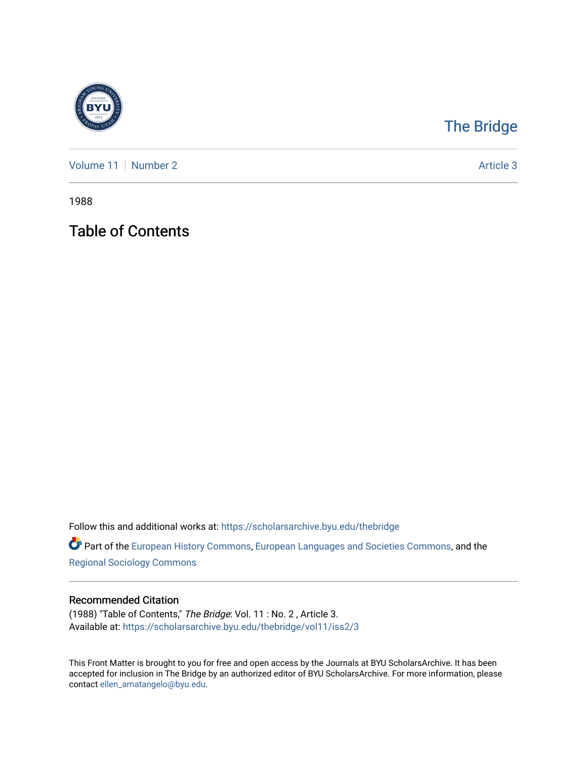

## [The Bridge](https://scholarsarchive.byu.edu/thebridge)

[Volume 11](https://scholarsarchive.byu.edu/thebridge/vol11) [Number 2](https://scholarsarchive.byu.edu/thebridge/vol11/iss2) Article 3

1988

Table of Contents

Follow this and additional works at: [https://scholarsarchive.byu.edu/thebridge](https://scholarsarchive.byu.edu/thebridge?utm_source=scholarsarchive.byu.edu%2Fthebridge%2Fvol11%2Fiss2%2F3&utm_medium=PDF&utm_campaign=PDFCoverPages) 

**Part of the [European History Commons](http://network.bepress.com/hgg/discipline/492?utm_source=scholarsarchive.byu.edu%2Fthebridge%2Fvol11%2Fiss2%2F3&utm_medium=PDF&utm_campaign=PDFCoverPages), [European Languages and Societies Commons,](http://network.bepress.com/hgg/discipline/482?utm_source=scholarsarchive.byu.edu%2Fthebridge%2Fvol11%2Fiss2%2F3&utm_medium=PDF&utm_campaign=PDFCoverPages) and the** [Regional Sociology Commons](http://network.bepress.com/hgg/discipline/427?utm_source=scholarsarchive.byu.edu%2Fthebridge%2Fvol11%2Fiss2%2F3&utm_medium=PDF&utm_campaign=PDFCoverPages) 

#### Recommended Citation

(1988) "Table of Contents," The Bridge: Vol. 11 : No. 2 , Article 3. Available at: [https://scholarsarchive.byu.edu/thebridge/vol11/iss2/3](https://scholarsarchive.byu.edu/thebridge/vol11/iss2/3?utm_source=scholarsarchive.byu.edu%2Fthebridge%2Fvol11%2Fiss2%2F3&utm_medium=PDF&utm_campaign=PDFCoverPages) 

This Front Matter is brought to you for free and open access by the Journals at BYU ScholarsArchive. It has been accepted for inclusion in The Bridge by an authorized editor of BYU ScholarsArchive. For more information, please contact [ellen\\_amatangelo@byu.edu.](mailto:ellen_amatangelo@byu.edu)